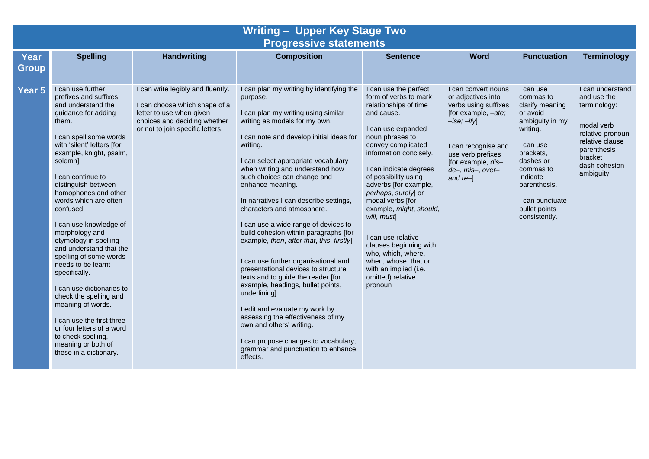| <b>Writing - Upper Key Stage Two</b><br><b>Progressive statements</b> |                                                                                                                                                                                                                                                                                                                                                                                                                                                                                                                                                                                                                                                                                       |                                                                                                                                                                    |                                                                                                                                                                                                                                                                                                                                                                                                                                                                                                                                                                                                                                                                                                                                                                                                                                                                                                |                                                                                                                                                                                                                                                                                                                                                                                                                                                                                                      |                                                                                                                                                                                                               |                                                                                                                                                                                                                           |                                                                                                                                                              |  |
|-----------------------------------------------------------------------|---------------------------------------------------------------------------------------------------------------------------------------------------------------------------------------------------------------------------------------------------------------------------------------------------------------------------------------------------------------------------------------------------------------------------------------------------------------------------------------------------------------------------------------------------------------------------------------------------------------------------------------------------------------------------------------|--------------------------------------------------------------------------------------------------------------------------------------------------------------------|------------------------------------------------------------------------------------------------------------------------------------------------------------------------------------------------------------------------------------------------------------------------------------------------------------------------------------------------------------------------------------------------------------------------------------------------------------------------------------------------------------------------------------------------------------------------------------------------------------------------------------------------------------------------------------------------------------------------------------------------------------------------------------------------------------------------------------------------------------------------------------------------|------------------------------------------------------------------------------------------------------------------------------------------------------------------------------------------------------------------------------------------------------------------------------------------------------------------------------------------------------------------------------------------------------------------------------------------------------------------------------------------------------|---------------------------------------------------------------------------------------------------------------------------------------------------------------------------------------------------------------|---------------------------------------------------------------------------------------------------------------------------------------------------------------------------------------------------------------------------|--------------------------------------------------------------------------------------------------------------------------------------------------------------|--|
| Year<br><b>Group</b>                                                  | <b>Spelling</b>                                                                                                                                                                                                                                                                                                                                                                                                                                                                                                                                                                                                                                                                       | <b>Handwriting</b>                                                                                                                                                 | <b>Composition</b>                                                                                                                                                                                                                                                                                                                                                                                                                                                                                                                                                                                                                                                                                                                                                                                                                                                                             | <b>Sentence</b>                                                                                                                                                                                                                                                                                                                                                                                                                                                                                      | <b>Word</b>                                                                                                                                                                                                   | <b>Punctuation</b>                                                                                                                                                                                                        | <b>Terminology</b>                                                                                                                                           |  |
| Year 5                                                                | I can use further<br>prefixes and suffixes<br>and understand the<br>quidance for adding<br>them.<br>I can spell some words<br>with 'silent' letters [for<br>example, knight, psalm,<br>solemn]<br>I can continue to<br>distinguish between<br>homophones and other<br>words which are often<br>confused.<br>I can use knowledge of<br>morphology and<br>etymology in spelling<br>and understand that the<br>spelling of some words<br>needs to be learnt<br>specifically.<br>I can use dictionaries to<br>check the spelling and<br>meaning of words.<br>I can use the first three<br>or four letters of a word<br>to check spelling,<br>meaning or both of<br>these in a dictionary. | I can write legibly and fluently.<br>I can choose which shape of a<br>letter to use when given<br>choices and deciding whether<br>or not to join specific letters. | I can plan my writing by identifying the<br>purpose.<br>I can plan my writing using similar<br>writing as models for my own.<br>I can note and develop initial ideas for<br>writing.<br>I can select appropriate vocabulary<br>when writing and understand how<br>such choices can change and<br>enhance meaning.<br>In narratives I can describe settings,<br>characters and atmosphere.<br>I can use a wide range of devices to<br>build cohesion within paragraphs [for<br>example, then, after that, this, firstly]<br>I can use further organisational and<br>presentational devices to structure<br>texts and to guide the reader [for<br>example, headings, bullet points,<br>underlining]<br>I edit and evaluate my work by<br>assessing the effectiveness of my<br>own and others' writing.<br>I can propose changes to vocabulary,<br>grammar and punctuation to enhance<br>effects. | I can use the perfect<br>form of verbs to mark<br>relationships of time<br>and cause.<br>I can use expanded<br>noun phrases to<br>convey complicated<br>information concisely.<br>I can indicate degrees<br>of possibility using<br>adverbs [for example,<br>perhaps, surely] or<br>modal verbs [for<br>example, might, should,<br>will, must<br>I can use relative<br>clauses beginning with<br>who, which, where,<br>when, whose, that or<br>with an implied (i.e.<br>omitted) relative<br>pronoun | I can convert nouns<br>or adjectives into<br>verbs using suffixes<br>[for example, -ate;<br>$-ise; -ify$<br>I can recognise and<br>use verb prefixes<br>[for example, dis-,<br>de-, mis-, over-<br>and $re-1$ | I can use<br>commas to<br>clarify meaning<br>or avoid<br>ambiguity in my<br>writing.<br>I can use<br>brackets,<br>dashes or<br>commas to<br>indicate<br>parenthesis.<br>I can punctuate<br>bullet points<br>consistently. | I can understand<br>and use the<br>terminology:<br>modal verb<br>relative pronoun<br>relative clause<br>parenthesis<br>bracket<br>dash cohesion<br>ambiguity |  |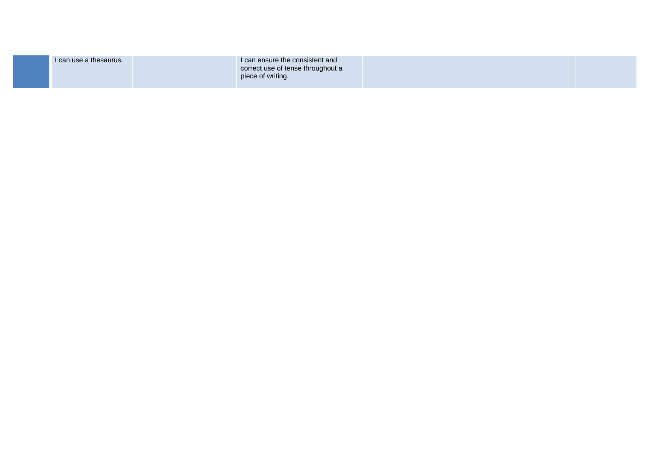| I can use a thesaurus. | I can ensure the consistent and<br>correct use of tense throughout a<br>piece of writing. |  |  |
|------------------------|-------------------------------------------------------------------------------------------|--|--|
|                        |                                                                                           |  |  |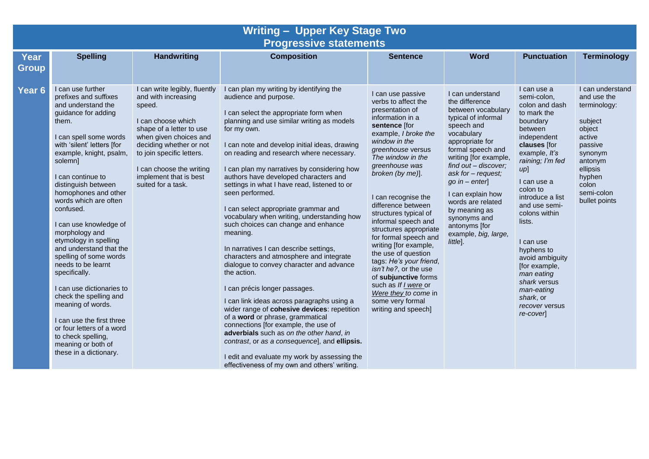| <b>Writing - Upper Key Stage Two</b><br><b>Progressive statements</b> |                                                                                                                                                                                                                                                                                                                                                                                                                                                                                                                                                                                                                                                                                       |                                                                                                                                                                                                                                                                                |                                                                                                                                                                                                                                                                                                                                                                                                                                                                                                                                                                                                                                                                                                                                                                                                                                                                                                                                                                                                                                                                                                                                  |                                                                                                                                                                                                                                                                                                                                                                                                                                                                                                                                                                                                  |                                                                                                                                                                                                                                                                                                                                                                                |                                                                                                                                                                                                                                                                                                                                                                                                                   |                                                                                                                                                                               |
|-----------------------------------------------------------------------|---------------------------------------------------------------------------------------------------------------------------------------------------------------------------------------------------------------------------------------------------------------------------------------------------------------------------------------------------------------------------------------------------------------------------------------------------------------------------------------------------------------------------------------------------------------------------------------------------------------------------------------------------------------------------------------|--------------------------------------------------------------------------------------------------------------------------------------------------------------------------------------------------------------------------------------------------------------------------------|----------------------------------------------------------------------------------------------------------------------------------------------------------------------------------------------------------------------------------------------------------------------------------------------------------------------------------------------------------------------------------------------------------------------------------------------------------------------------------------------------------------------------------------------------------------------------------------------------------------------------------------------------------------------------------------------------------------------------------------------------------------------------------------------------------------------------------------------------------------------------------------------------------------------------------------------------------------------------------------------------------------------------------------------------------------------------------------------------------------------------------|--------------------------------------------------------------------------------------------------------------------------------------------------------------------------------------------------------------------------------------------------------------------------------------------------------------------------------------------------------------------------------------------------------------------------------------------------------------------------------------------------------------------------------------------------------------------------------------------------|--------------------------------------------------------------------------------------------------------------------------------------------------------------------------------------------------------------------------------------------------------------------------------------------------------------------------------------------------------------------------------|-------------------------------------------------------------------------------------------------------------------------------------------------------------------------------------------------------------------------------------------------------------------------------------------------------------------------------------------------------------------------------------------------------------------|-------------------------------------------------------------------------------------------------------------------------------------------------------------------------------|
| Year<br><b>Group</b>                                                  | <b>Spelling</b>                                                                                                                                                                                                                                                                                                                                                                                                                                                                                                                                                                                                                                                                       | <b>Handwriting</b>                                                                                                                                                                                                                                                             | <b>Composition</b>                                                                                                                                                                                                                                                                                                                                                                                                                                                                                                                                                                                                                                                                                                                                                                                                                                                                                                                                                                                                                                                                                                               | <b>Sentence</b>                                                                                                                                                                                                                                                                                                                                                                                                                                                                                                                                                                                  | <b>Word</b>                                                                                                                                                                                                                                                                                                                                                                    | <b>Punctuation</b>                                                                                                                                                                                                                                                                                                                                                                                                | <b>Terminology</b>                                                                                                                                                            |
| Year <sub>6</sub>                                                     | I can use further<br>prefixes and suffixes<br>and understand the<br>guidance for adding<br>them.<br>I can spell some words<br>with 'silent' letters [for<br>example, knight, psalm,<br>solemn]<br>I can continue to<br>distinguish between<br>homophones and other<br>words which are often<br>confused.<br>I can use knowledge of<br>morphology and<br>etymology in spelling<br>and understand that the<br>spelling of some words<br>needs to be learnt<br>specifically.<br>I can use dictionaries to<br>check the spelling and<br>meaning of words.<br>I can use the first three<br>or four letters of a word<br>to check spelling,<br>meaning or both of<br>these in a dictionary. | I can write legibly, fluently<br>and with increasing<br>speed.<br>I can choose which<br>shape of a letter to use<br>when given choices and<br>deciding whether or not<br>to join specific letters.<br>I can choose the writing<br>implement that is best<br>suited for a task. | I can plan my writing by identifying the<br>audience and purpose.<br>I can select the appropriate form when<br>planning and use similar writing as models<br>for my own.<br>I can note and develop initial ideas, drawing<br>on reading and research where necessary.<br>I can plan my narratives by considering how<br>authors have developed characters and<br>settings in what I have read, listened to or<br>seen performed.<br>I can select appropriate grammar and<br>vocabulary when writing, understanding how<br>such choices can change and enhance<br>meaning.<br>In narratives I can describe settings,<br>characters and atmosphere and integrate<br>dialogue to convey character and advance<br>the action.<br>I can précis longer passages.<br>I can link ideas across paragraphs using a<br>wider range of cohesive devices: repetition<br>of a word or phrase, grammatical<br>connections [for example, the use of<br>adverbials such as on the other hand, in<br>contrast, or as a consequence], and ellipsis.<br>I edit and evaluate my work by assessing the<br>effectiveness of my own and others' writing. | I can use passive<br>verbs to affect the<br>presentation of<br>information in a<br>sentence [for<br>example, I broke the<br>window in the<br>greenhouse versus<br>The window in the<br>greenhouse was<br>broken (by me)].<br>I can recognise the<br>difference between<br>structures typical of<br>informal speech and<br>structures appropriate<br>for formal speech and<br>writing [for example,<br>the use of question<br>tags: He's your friend,<br>isn't he?, or the use<br>of subjunctive forms<br>such as If I were or<br>Were they to come in<br>some very formal<br>writing and speech] | I can understand<br>the difference<br>between vocabulary<br>typical of informal<br>speech and<br>vocabulary<br>appropriate for<br>formal speech and<br>writing [for example,<br>find out - discover;<br>ask for - request;<br>$go in - enter]$<br>I can explain how<br>words are related<br>by meaning as<br>synonyms and<br>antonyms [for<br>example, big, large,<br>little]. | I can use a<br>semi-colon,<br>colon and dash<br>to mark the<br>boundary<br>between<br>independent<br>clauses [for<br>example, It's<br>raining; I'm fed<br>$up$ ]<br>I can use a<br>colon to<br>introduce a list<br>and use semi-<br>colons within<br>lists.<br>I can use<br>hyphens to<br>avoid ambiguity<br>[for example,<br>man eating<br>shark versus<br>man-eating<br>shark, or<br>recover versus<br>re-cover | I can understand<br>and use the<br>terminology:<br>subject<br>object<br>active<br>passive<br>synonym<br>antonym<br>ellipsis<br>hyphen<br>colon<br>semi-colon<br>bullet points |